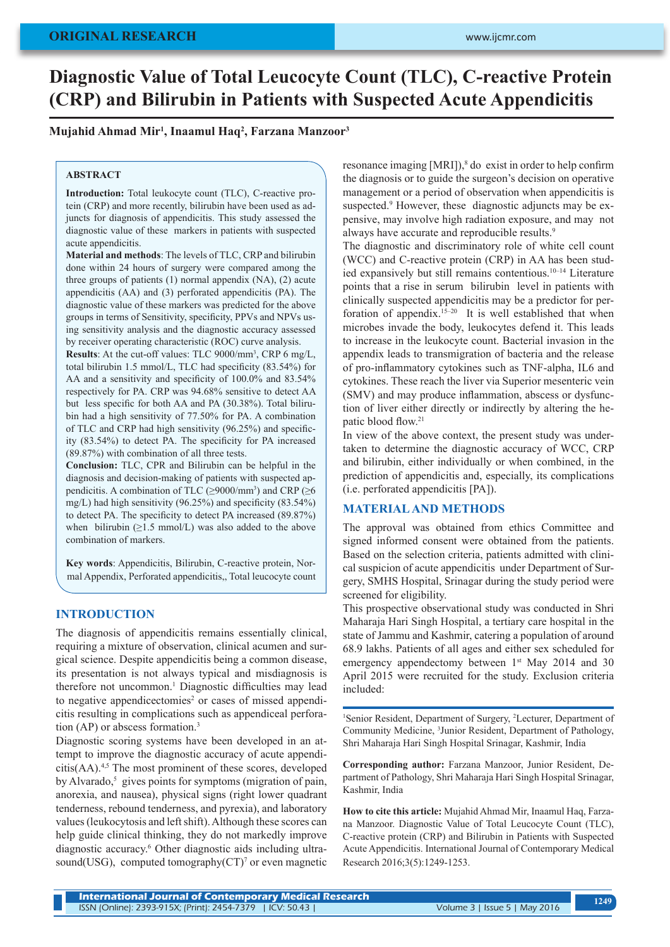# **Diagnostic Value of Total Leucocyte Count (TLC), C-reactive Protein (CRP) and Bilirubin in Patients with Suspected Acute Appendicitis**

## **Mujahid Ahmad Mir1 , Inaamul Haq2 , Farzana Manzoor3**

#### **ABSTRACT**

**Introduction:** Total leukocyte count (TLC), C-reactive protein (CRP) and more recently, bilirubin have been used as adjuncts for diagnosis of appendicitis. This study assessed the diagnostic value of these markers in patients with suspected acute appendicitis.

**Material and methods**: The levels of TLC, CRP and bilirubin done within 24 hours of surgery were compared among the three groups of patients (1) normal appendix (NA), (2) acute appendicitis (AA) and (3) perforated appendicitis (PA). The diagnostic value of these markers was predicted for the above groups in terms of Sensitivity, specificity, PPVs and NPVs using sensitivity analysis and the diagnostic accuracy assessed by receiver operating characteristic (ROC) curve analysis.

**Results**: At the cut-off values: TLC 9000/mm3 , CRP 6 mg/L, total bilirubin 1.5 mmol/L, TLC had specificity (83.54%) for AA and a sensitivity and specificity of 100.0% and 83.54% respectively for PA. CRP was 94.68% sensitive to detect AA but less specific for both AA and PA (30.38%). Total bilirubin had a high sensitivity of 77.50% for PA. A combination of TLC and CRP had high sensitivity (96.25%) and specificity (83.54%) to detect PA. The specificity for PA increased (89.87%) with combination of all three tests.

**Conclusion:** TLC, CPR and Bilirubin can be helpful in the diagnosis and decision-making of patients with suspected appendicitis. A combination of TLC ( $\geq$ 9000/mm<sup>3</sup>) and CRP ( $\geq$ 6 mg/L) had high sensitivity (96.25%) and specificity (83.54%) to detect PA. The specificity to detect PA increased (89.87%) when bilirubin  $(\geq 1.5 \text{ mmol/L})$  was also added to the above combination of markers.

**Key words**: Appendicitis, Bilirubin, C-reactive protein, Normal Appendix, Perforated appendicitis,, Total leucocyte count

### **INTRODUCTION**

The diagnosis of appendicitis remains essentially clinical, requiring a mixture of observation, clinical acumen and surgical science. Despite appendicitis being a common disease, its presentation is not always typical and misdiagnosis is therefore not uncommon.<sup>1</sup> Diagnostic difficulties may lead to negative appendicectomies<sup>2</sup> or cases of missed appendicitis resulting in complications such as appendiceal perforation (AP) or abscess formation.3

Diagnostic scoring systems have been developed in an attempt to improve the diagnostic accuracy of acute appendicitis(AA).4,5 The most prominent of these scores, developed by Alvarado,<sup>5</sup> gives points for symptoms (migration of pain, anorexia, and nausea), physical signs (right lower quadrant tenderness, rebound tenderness, and pyrexia), and laboratory values (leukocytosis and left shift). Although these scores can help guide clinical thinking, they do not markedly improve diagnostic accuracy.6 Other diagnostic aids including ultrasound(USG), computed tomography $(CT)^7$  or even magnetic

resonance imaging [MRI]),<sup>8</sup> do exist in order to help confirm the diagnosis or to guide the surgeon's decision on operative management or a period of observation when appendicitis is suspected.<sup>9</sup> However, these diagnostic adjuncts may be expensive, may involve high radiation exposure, and may not always have accurate and reproducible results.<sup>9</sup>

The diagnostic and discriminatory role of white cell count (WCC) and C-reactive protein (CRP) in AA has been studied expansively but still remains contentious.10–14 Literature points that a rise in serum bilirubin level in patients with clinically suspected appendicitis may be a predictor for perforation of appendix.15–20 It is well established that when microbes invade the body, leukocytes defend it. This leads to increase in the leukocyte count. Bacterial invasion in the appendix leads to transmigration of bacteria and the release of pro-inflammatory cytokines such as TNF-alpha, IL6 and cytokines. These reach the liver via Superior mesenteric vein (SMV) and may produce inflammation, abscess or dysfunction of liver either directly or indirectly by altering the hepatic blood flow.<sup>21</sup>

In view of the above context, the present study was undertaken to determine the diagnostic accuracy of WCC, CRP and bilirubin, either individually or when combined, in the prediction of appendicitis and, especially, its complications (i.e. perforated appendicitis [PA]).

### **MATERIAL AND METHODS**

The approval was obtained from ethics Committee and signed informed consent were obtained from the patients. Based on the selection criteria, patients admitted with clinical suspicion of acute appendicitis under Department of Surgery, SMHS Hospital, Srinagar during the study period were screened for eligibility.

This prospective observational study was conducted in Shri Maharaja Hari Singh Hospital, a tertiary care hospital in the state of Jammu and Kashmir, catering a population of around 68.9 lakhs. Patients of all ages and either sex scheduled for emergency appendectomy between  $1<sup>st</sup>$  May 2014 and 30 April 2015 were recruited for the study. Exclusion criteria included:

<sup>1</sup>Senior Resident, Department of Surgery, <sup>2</sup>Lecturer, Department of Community Medicine, 3 Junior Resident, Department of Pathology, Shri Maharaja Hari Singh Hospital Srinagar, Kashmir, India

**Corresponding author:** Farzana Manzoor, Junior Resident, Department of Pathology, Shri Maharaja Hari Singh Hospital Srinagar, Kashmir, India

**How to cite this article:** Mujahid Ahmad Mir, Inaamul Haq, Farzana Manzoor. Diagnostic Value of Total Leucocyte Count (TLC), C-reactive protein (CRP) and Bilirubin in Patients with Suspected Acute Appendicitis. International Journal of Contemporary Medical Research 2016;3(5):1249-1253.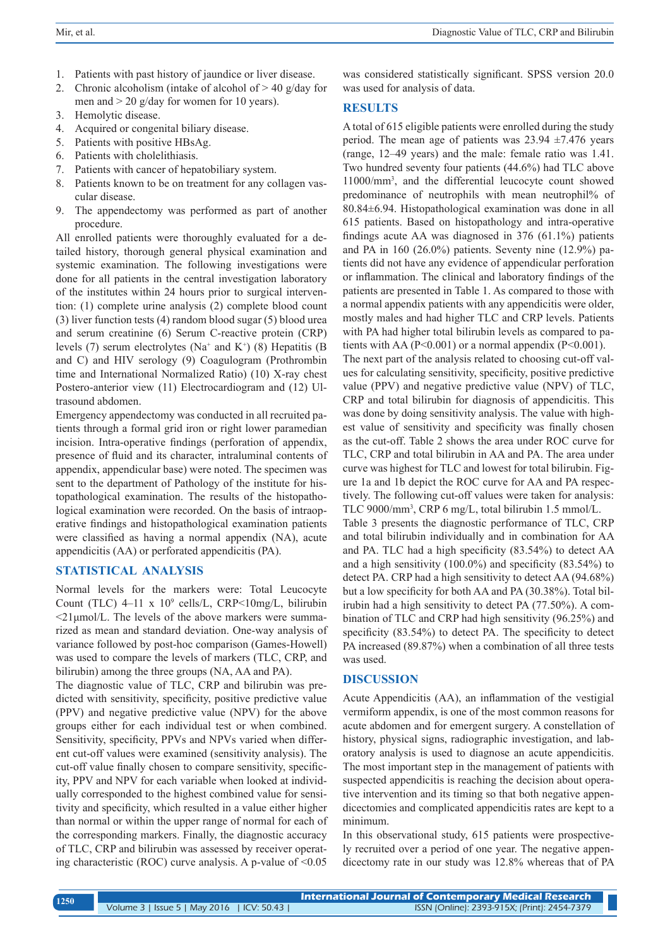- 1. Patients with past history of jaundice or liver disease.
- 2. Chronic alcoholism (intake of alcohol of  $> 40$  g/day for men and  $> 20$  g/day for women for 10 years).
- 3. Hemolytic disease.
- 4. Acquired or congenital biliary disease.
- 5. Patients with positive HBsAg.
- 6. Patients with cholelithiasis.
- 7. Patients with cancer of hepatobiliary system.
- 8. Patients known to be on treatment for any collagen vascular disease.
- 9. The appendectomy was performed as part of another procedure.

All enrolled patients were thoroughly evaluated for a detailed history, thorough general physical examination and systemic examination. The following investigations were done for all patients in the central investigation laboratory of the institutes within 24 hours prior to surgical intervention: (1) complete urine analysis (2) complete blood count (3) liver function tests (4) random blood sugar (5) blood urea and serum creatinine (6) Serum C-reactive protein (CRP) levels (7) serum electrolytes ( $Na^+$  and  $K^+$ ) (8) Hepatitis (B and C) and HIV serology (9) Coagulogram (Prothrombin time and International Normalized Ratio) (10) X-ray chest Postero-anterior view (11) Electrocardiogram and (12) Ultrasound abdomen.

Emergency appendectomy was conducted in all recruited patients through a formal grid iron or right lower paramedian incision. Intra-operative findings (perforation of appendix, presence of fluid and its character, intraluminal contents of appendix, appendicular base) were noted. The specimen was sent to the department of Pathology of the institute for histopathological examination. The results of the histopathological examination were recorded. On the basis of intraoperative findings and histopathological examination patients were classified as having a normal appendix (NA), acute appendicitis (AA) or perforated appendicitis (PA).

# **STATISTICAL ANALYSIS**

Normal levels for the markers were: Total Leucocyte Count (TLC)  $4-11 \times 10^9$  cells/L, CRP<10mg/L, bilirubin  $\leq$ 21µmol/L. The levels of the above markers were summarized as mean and standard deviation. One-way analysis of variance followed by post-hoc comparison (Games-Howell) was used to compare the levels of markers (TLC, CRP, and bilirubin) among the three groups (NA, AA and PA).

The diagnostic value of TLC, CRP and bilirubin was predicted with sensitivity, specificity, positive predictive value (PPV) and negative predictive value (NPV) for the above groups either for each individual test or when combined. Sensitivity, specificity, PPVs and NPVs varied when different cut-off values were examined (sensitivity analysis). The cut-off value finally chosen to compare sensitivity, specificity, PPV and NPV for each variable when looked at individually corresponded to the highest combined value for sensitivity and specificity, which resulted in a value either higher than normal or within the upper range of normal for each of the corresponding markers. Finally, the diagnostic accuracy of TLC, CRP and bilirubin was assessed by receiver operating characteristic (ROC) curve analysis. A p-value of  $\leq 0.05$  was considered statistically significant. SPSS version 20.0 was used for analysis of data.

# **RESULTS**

A total of 615 eligible patients were enrolled during the study period. The mean age of patients was  $23.94 \pm 7.476$  years (range, 12–49 years) and the male: female ratio was 1.41. Two hundred seventy four patients (44.6%) had TLC above 11000/mm3 , and the differential leucocyte count showed predominance of neutrophils with mean neutrophil% of 80.84±6.94. Histopathological examination was done in all 615 patients. Based on histopathology and intra-operative findings acute AA was diagnosed in 376 (61.1%) patients and PA in 160 (26.0%) patients. Seventy nine (12.9%) patients did not have any evidence of appendicular perforation or inflammation. The clinical and laboratory findings of the patients are presented in Table 1. As compared to those with a normal appendix patients with any appendicitis were older, mostly males and had higher TLC and CRP levels. Patients with PA had higher total bilirubin levels as compared to patients with AA ( $P<0.001$ ) or a normal appendix ( $P<0.001$ ).

The next part of the analysis related to choosing cut-off values for calculating sensitivity, specificity, positive predictive value (PPV) and negative predictive value (NPV) of TLC, CRP and total bilirubin for diagnosis of appendicitis. This was done by doing sensitivity analysis. The value with highest value of sensitivity and specificity was finally chosen as the cut-off. Table 2 shows the area under ROC curve for TLC, CRP and total bilirubin in AA and PA. The area under curve was highest for TLC and lowest for total bilirubin. Figure 1a and 1b depict the ROC curve for AA and PA respectively. The following cut-off values were taken for analysis: TLC 9000/mm3 , CRP 6 mg/L, total bilirubin 1.5 mmol/L.

Table 3 presents the diagnostic performance of TLC, CRP and total bilirubin individually and in combination for AA and PA. TLC had a high specificity (83.54%) to detect AA and a high sensitivity (100.0%) and specificity (83.54%) to detect PA. CRP had a high sensitivity to detect AA (94.68%) but a low specificity for both AA and PA (30.38%). Total bilirubin had a high sensitivity to detect PA (77.50%). A combination of TLC and CRP had high sensitivity (96.25%) and specificity (83.54%) to detect PA. The specificity to detect PA increased (89.87%) when a combination of all three tests was used.

# **DISCUSSION**

Acute Appendicitis (AA), an inflammation of the vestigial vermiform appendix, is one of the most common reasons for acute abdomen and for emergent surgery. A constellation of history, physical signs, radiographic investigation, and laboratory analysis is used to diagnose an acute appendicitis. The most important step in the management of patients with suspected appendicitis is reaching the decision about operative intervention and its timing so that both negative appendicectomies and complicated appendicitis rates are kept to a minimum.

In this observational study, 615 patients were prospectively recruited over a period of one year. The negative appendicectomy rate in our study was 12.8% whereas that of PA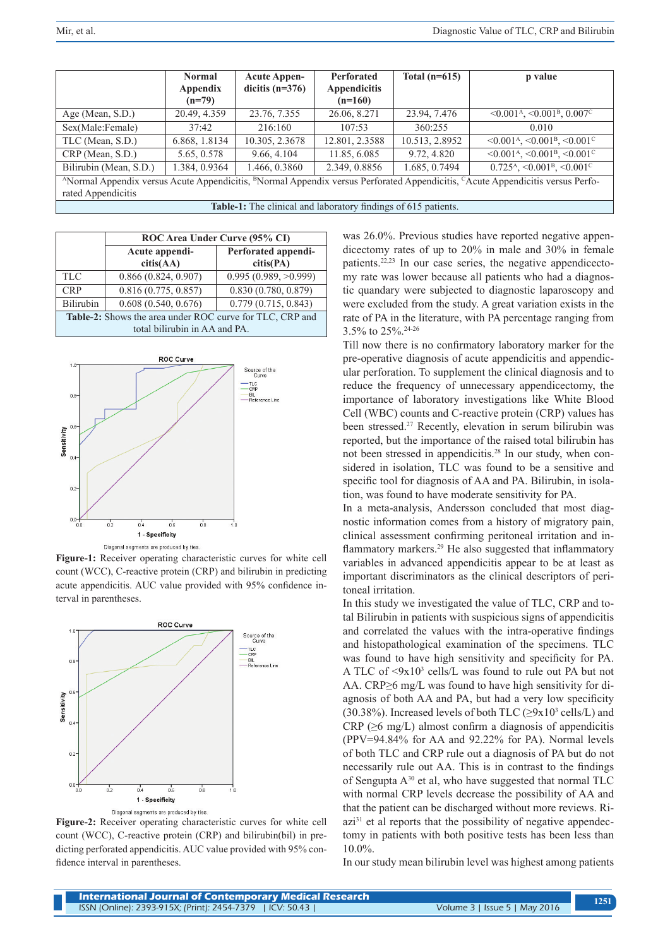|                        | <b>Normal</b> | <b>Acute Appen-</b> | Perforated                                                     | Total $(n=615)$ | p value                                                                                                                                                            |
|------------------------|---------------|---------------------|----------------------------------------------------------------|-----------------|--------------------------------------------------------------------------------------------------------------------------------------------------------------------|
|                        | Appendix      | dicitis $(n=376)$   | <b>Appendicitis</b>                                            |                 |                                                                                                                                                                    |
|                        | $(n=79)$      |                     | $(n=160)$                                                      |                 |                                                                                                                                                                    |
| Age (Mean, S.D.)       | 20.49, 4.359  | 23.76, 7.355        | 26.06, 8.271                                                   | 23.94, 7.476    | $\leq 0.001$ <sup>A</sup> , $\leq 0.001$ <sup>B</sup> , $0.007$ <sup>C</sup>                                                                                       |
| Sex(Male:Female)       | 37:42         | 216:160             | 107:53                                                         | 360:255         | 0.010                                                                                                                                                              |
| TLC (Mean, S.D.)       | 6.868, 1.8134 | 10.305, 2.3678      | 12.801, 2.3588                                                 | 10.513, 2.8952  | $\leq 0.001^{\text{A}}$ , $\leq 0.001^{\text{B}}$ , $\leq 0.001^{\text{C}}$                                                                                        |
| CRP (Mean, S.D.)       | 5.65, 0.578   | 9.66, 4.104         | 11.85, 6.085                                                   | 9.72, 4.820     | $\leq 0.001$ <sup>A</sup> , $\leq 0.001$ <sup>B</sup> , $\leq 0.001$ <sup>C</sup>                                                                                  |
| Bilirubin (Mean, S.D.) | 1.384, 0.9364 | 1.466, 0.3860       | 2.349, 0.8856                                                  | 1.685, 0.7494   | $0.725A$ , <0.001 <sup>B</sup> , <0.001 <sup>C</sup>                                                                                                               |
|                        |               |                     |                                                                |                 | <sup>A</sup> Normal Appendix versus Acute Appendicitis, <sup>B</sup> Normal Appendix versus Perforated Appendicitis, <sup>C</sup> Acute Appendicitis versus Perfo- |
| rated Appendicitis     |               |                     |                                                                |                 |                                                                                                                                                                    |
|                        |               |                     | Table-1: The clinical and laboratory findings of 615 patients. |                 |                                                                                                                                                                    |

|                  |                                                          | ROC Area Under Curve (95% CI)    |
|------------------|----------------------------------------------------------|----------------------------------|
|                  | Acute appendi-<br>citis(AA)                              | Perforated appendi-<br>citis(PA) |
| <b>TLC</b>       | 0.866(0.824, 0.907)                                      | 0.995(0.989, >0.999)             |
| <b>CRP</b>       | 0.816(0.775, 0.857)                                      | 0.830(0.780, 0.879)              |
| <b>Bilirubin</b> | 0.608(0.540, 0.676)                                      | $\overline{0.779(0.715, 0.843)}$ |
|                  | Table-2: Shows the area under ROC curve for TLC, CRP and |                                  |
|                  | total bilirubin in AA and PA.                            |                                  |



**Figure-1:** Receiver operating characteristic curves for white cell count (WCC), C-reactive protein (CRP) and bilirubin in predicting acute appendicitis. AUC value provided with 95% confidence interval in parentheses.



**Figure-2:** Receiver operating characteristic curves for white cell count (WCC), C-reactive protein (CRP) and bilirubin(bil) in predicting perforated appendicitis. AUC value provided with 95% confidence interval in parentheses.

was 26.0%. Previous studies have reported negative appendicectomy rates of up to 20% in male and 30% in female patients.22,23 In our case series, the negative appendicectomy rate was lower because all patients who had a diagnostic quandary were subjected to diagnostic laparoscopy and were excluded from the study. A great variation exists in the rate of PA in the literature, with PA percentage ranging from 3.5% to 25%.24-26

Till now there is no confirmatory laboratory marker for the pre-operative diagnosis of acute appendicitis and appendicular perforation. To supplement the clinical diagnosis and to reduce the frequency of unnecessary appendicectomy, the importance of laboratory investigations like White Blood Cell (WBC) counts and C-reactive protein (CRP) values has been stressed.<sup>27</sup> Recently, elevation in serum bilirubin was reported, but the importance of the raised total bilirubin has not been stressed in appendicitis.28 In our study, when considered in isolation, TLC was found to be a sensitive and specific tool for diagnosis of AA and PA. Bilirubin, in isolation, was found to have moderate sensitivity for PA.

In a meta-analysis, Andersson concluded that most diagnostic information comes from a history of migratory pain, clinical assessment confirming peritoneal irritation and inflammatory markers.<sup>29</sup> He also suggested that inflammatory variables in advanced appendicitis appear to be at least as important discriminators as the clinical descriptors of peritoneal irritation.

In this study we investigated the value of TLC, CRP and total Bilirubin in patients with suspicious signs of appendicitis and correlated the values with the intra-operative findings and histopathological examination of the specimens. TLC was found to have high sensitivity and specificity for PA. A TLC of <9x10<sup>3</sup> cells/L was found to rule out PA but not AA. CRP≥6 mg/L was found to have high sensitivity for diagnosis of both AA and PA, but had a very low specificity (30.38%). Increased levels of both TLC ( $\geq$ 9x10<sup>3</sup> cells/L) and CRP ( $\geq 6$  mg/L) almost confirm a diagnosis of appendicitis (PPV=94.84% for AA and 92.22% for PA). Normal levels of both TLC and CRP rule out a diagnosis of PA but do not necessarily rule out AA. This is in contrast to the findings of Sengupta A30 et al, who have suggested that normal TLC with normal CRP levels decrease the possibility of AA and that the patient can be discharged without more reviews. Riazi<sup>31</sup> et al reports that the possibility of negative appendectomy in patients with both positive tests has been less than 10.0%.

In our study mean bilirubin level was highest among patients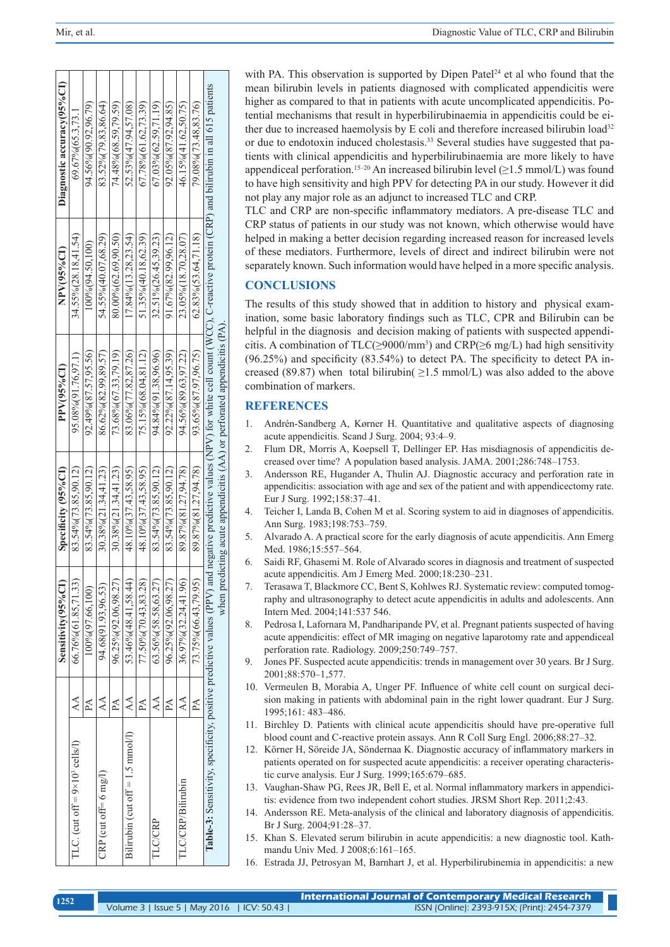|                                                                         |                                | Sensitivity(95%CI)    | Specificity (95%CI)        | PPV(95%CI)                                                                  | NPV(95%CI)                | Diagnostic accuracy(95%CI)                                                                                              |  |
|-------------------------------------------------------------------------|--------------------------------|-----------------------|----------------------------|-----------------------------------------------------------------------------|---------------------------|-------------------------------------------------------------------------------------------------------------------------|--|
| TLC. (cut off = $9 \times 10^3$ cells/1)                                | $\mathbb{A}$                   | 66.76% (61.85,71.33)  | 83.54% (73.85.90.12)       | 95.08%(91.76,97.1)                                                          | $34.55\%$ (28.18,41.54)   | 69.67% (65.3.73.1                                                                                                       |  |
|                                                                         | $P\!A$                         | 100%(97.66.100)       | 83.54% (73.85.90.12)       | 92.49%(87.57,95.56)                                                         | $100\% (94.50.100)$       | 94.56%(90.92,96.79)                                                                                                     |  |
| $CRP$ (cut of $f = 6$ mg/l)                                             | $\Delta$                       | 94.68(91.93,96.53)    | $30.38\%$ $(21.34, 41.23)$ | 86.62% (82.99,89.57)                                                        | 54.55% (40.07.68.29)      | 83.52% (79.83.86.64)                                                                                                    |  |
|                                                                         | $\mathbb{A}$                   | 96.25%(92.06.98.27)   | $30.38\%$ $(21.34, 41.23)$ | 73.68% (67.33,79.19)                                                        | 80.00% (62.69.90.50)      | 74.48% (68.59.79.59)                                                                                                    |  |
| Bilirubin (cut off $= 1.5$ mmol/l)                                      | $\mathbb{A}$                   | 53.46% (48.41.58.44)  | 48.10%(37.43.58.95)        | 83.06% (77.82,87.26)                                                        | $17.84\%$ $(13.28.23.54)$ | 52.53% (47.94.57.08                                                                                                     |  |
|                                                                         | ₫                              | 77.50%(70.43,83.28)   | 48.10% (37.43.58.95)       | 75.15% (68.04.81.12)                                                        | $51.35\%$ (40.18, 62.39)  | 67.78% (61.62.73.39)                                                                                                    |  |
| TLC/CRP                                                                 | $\mathop{\mathsf{A}}\nolimits$ | 63.56% (58.58, 63.27) | 83.54%(73.85.90.12)        | 94.84% 91.38.96.96)                                                         | $32.51\%$ $(26.45.39.23)$ | 67.03% (62.59,71.19)                                                                                                    |  |
|                                                                         | $\mathbb{A}$                   | 96.25%(92.06,98.27)   | 83.54% (73.85.90.12)       | $92.22\% (87.14.95.39)$                                                     | $91.67\% (82.99.96.12)$   | 92.05%(87.92.94.85)                                                                                                     |  |
| TLC/CRP/Bilirubin                                                       | $\mathbb A$                    | 36.97%(32.24,41.96)   | 89.87% (81.27,94.78)       | 94.56%(89.63,97.22)                                                         | 23.05% (18.70.28.07)      | 46.15%(41.62.50.75)                                                                                                     |  |
|                                                                         | $\mathbb{A}$                   | 73.75% (66.43,79.95)  | 89.87% (81.27.94.78)       | 93.65% (87.97.96.75)                                                        | $62.83\% (53.64.71.18)$   | 79.08% (73.48.83.76)                                                                                                    |  |
| Table-3: Sensitivity, specificity, positive predictive values (PPV) and |                                |                       |                            |                                                                             |                           | negative predictive values (NPV) for white cell count (WCC), C-reactive protein (CRP) and bilirubin in all 615 patients |  |
|                                                                         |                                |                       |                            | when predicting acute appendicitis $(AA)$ or perforated appendicitis $(PA)$ |                           |                                                                                                                         |  |

with PA. This observation is supported by Dipen Patel<sup>24</sup> et al who found that the mean bilirubin levels in patients diagnosed with complicated appendicitis were higher as compared to that in patients with acute uncomplicated appendicitis. Potential mechanisms that result in hyperbilirubinaemia in appendicitis could be either due to increased haemolysis by E coli and therefore increased bilirubin load<sup>32</sup> or due to endotoxin induced cholestasis.33 Several studies have suggested that patients with clinical appendicitis and hyperbilirubinaemia are more likely to have appendiceal perforation.<sup>15–20</sup> An increased bilirubin level ( $\geq$ 1.5 mmol/L) was found to have high sensitivity and high PPV for detecting PA in our study. However it did not play any major role as an adjunct to increased TLC and CRP.

TLC and CRP are non-specific inflammatory mediators. A pre-disease TLC and CRP status of patients in our study was not known, which otherwise would have helped in making a better decision regarding increased reason for increased levels of these mediators. Furthermore, levels of direct and indirect bilirubin were not separately known. Such information would have helped in a more specific analysis.

#### **CONCLUSIONS**

The results of this study showed that in addition to history and physical examination, some basic laboratory findings such as TLC, CPR and Bilirubin can be helpful in the diagnosis and decision making of patients with suspected appendicitis. A combination of  $TLC(\geq 9000/\text{mm}^3)$  and  $CRP(\geq 6 \text{ mg/L})$  had high sensitivity (96.25%) and specificity (83.54%) to detect PA. The specificity to detect PA increased (89.87) when total bilirubin( $\geq$ 1.5 mmol/L) was also added to the above combination of markers.

### **REFERENCES**

- 1. Andrén-Sandberg A, Kørner H. Quantitative and qualitative aspects of diagnosing acute appendicitis. Scand J Surg. 2004; 93:4–9.
- 2. Flum DR, Morris A, Koepsell T, Dellinger EP. Has misdiagnosis of appendicitis decreased over time? A population based analysis. JAMA. 2001;286:748–1753.
- 3. Andersson RE, Hugander A, Thulin AJ. Diagnostic accuracy and perforation rate in appendicitis: association with age and sex of the patient and with appendicectomy rate. Eur J Surg. 1992;158:37–41.
- 4. Teicher I, Landa B, Cohen M et al. Scoring system to aid in diagnoses of appendicitis. Ann Surg. 1983;198:753–759.
- 5. Alvarado A. A practical score for the early diagnosis of acute appendicitis. Ann Emerg Med. 1986;15:557–564.
- 6. Saidi RF, Ghasemi M. Role of Alvarado scores in diagnosis and treatment of suspected acute appendicitis. Am J Emerg Med. 2000;18:230–231.
- 7. Terasawa T, Blackmore CC, Bent S, Kohlwes RJ. Systematic review: computed tomography and ultrasonography to detect acute appendicitis in adults and adolescents. Ann Intern Med. 2004;141:537 546.
- 8. Pedrosa I, Lafornara M, Pandharipande PV, et al. Pregnant patients suspected of having acute appendicitis: effect of MR imaging on negative laparotomy rate and appendiceal perforation rate. Radiology. 2009;250:749–757.
- 9. Jones PF. Suspected acute appendicitis: trends in management over 30 years. Br J Surg. 2001;88:570–1,577.
- 10. Vermeulen B, Morabia A, Unger PF. Influence of white cell count on surgical decision making in patients with abdominal pain in the right lower quadrant. Eur J Surg. 1995;161: 483–486.
- 11. Birchley D. Patients with clinical acute appendicitis should have pre-operative full blood count and C-reactive protein assays. Ann R Coll Surg Engl. 2006;88:27–32.
- 12. Körner H, Söreide JA, Söndernaa K. Diagnostic accuracy of inflammatory markers in patients operated on for suspected acute appendicitis: a receiver operating characteristic curve analysis. Eur J Surg. 1999;165:679–685.
- 13. Vaughan-Shaw PG, Rees JR, Bell E, et al. Normal inflammatory markers in appendicitis: evidence from two independent cohort studies. JRSM Short Rep. 2011;2:43.
- 14. Andersson RE. Meta-analysis of the clinical and laboratory diagnosis of appendicitis. Br J Surg. 2004;91:28–37.
- 15. Khan S. Elevated serum bilirubin in acute appendicitis: a new diagnostic tool. Kathmandu Univ Med. J 2008;6:161–165.
- 16. Estrada JJ, Petrosyan M, Barnhart J, et al. Hyperbilirubinemia in appendicitis: a new